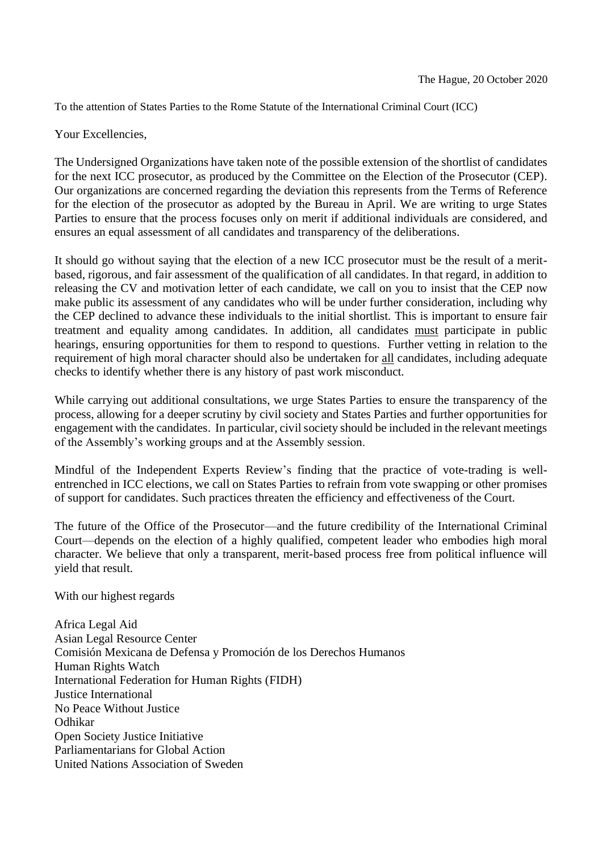To the attention of States Parties to the Rome Statute of the International Criminal Court (ICC)

Your Excellencies,

The Undersigned Organizations have taken note of the possible extension of the shortlist of candidates for the next ICC prosecutor, as produced by the Committee on the Election of the Prosecutor (CEP). Our organizations are concerned regarding the deviation this represents from the Terms of Reference for the election of the prosecutor as adopted by the Bureau in April. We are writing to urge States Parties to ensure that the process focuses only on merit if additional individuals are considered, and ensures an equal assessment of all candidates and transparency of the deliberations.

It should go without saying that the election of a new ICC prosecutor must be the result of a meritbased, rigorous, and fair assessment of the qualification of all candidates. In that regard, in addition to releasing the CV and motivation letter of each candidate, we call on you to insist that the CEP now make public its assessment of any candidates who will be under further consideration, including why the CEP declined to advance these individuals to the initial shortlist. This is important to ensure fair treatment and equality among candidates. In addition, all candidates must participate in public hearings, ensuring opportunities for them to respond to questions. Further vetting in relation to the requirement of high moral character should also be undertaken for all candidates, including adequate checks to identify whether there is any history of past work misconduct.

While carrying out additional consultations, we urge States Parties to ensure the transparency of the process, allowing for a deeper scrutiny by civil society and States Parties and further opportunities for engagement with the candidates. In particular, civil society should be included in the relevant meetings of the Assembly's working groups and at the Assembly session.

Mindful of the Independent Experts Review's finding that the practice of vote-trading is wellentrenched in ICC elections, we call on States Parties to refrain from vote swapping or other promises of support for candidates. Such practices threaten the efficiency and effectiveness of the Court.

The future of the Office of the Prosecutor—and the future credibility of the International Criminal Court—depends on the election of a highly qualified, competent leader who embodies high moral character. We believe that only a transparent, merit-based process free from political influence will yield that result.

With our highest regards

Africa Legal Aid Asian Legal Resource Center Comisión Mexicana de Defensa y Promoción de los Derechos Humanos Human Rights Watch International Federation for Human Rights (FIDH) Justice International No Peace Without Justice Odhikar Open Society Justice Initiative Parliamentarians for Global Action United Nations Association of Sweden